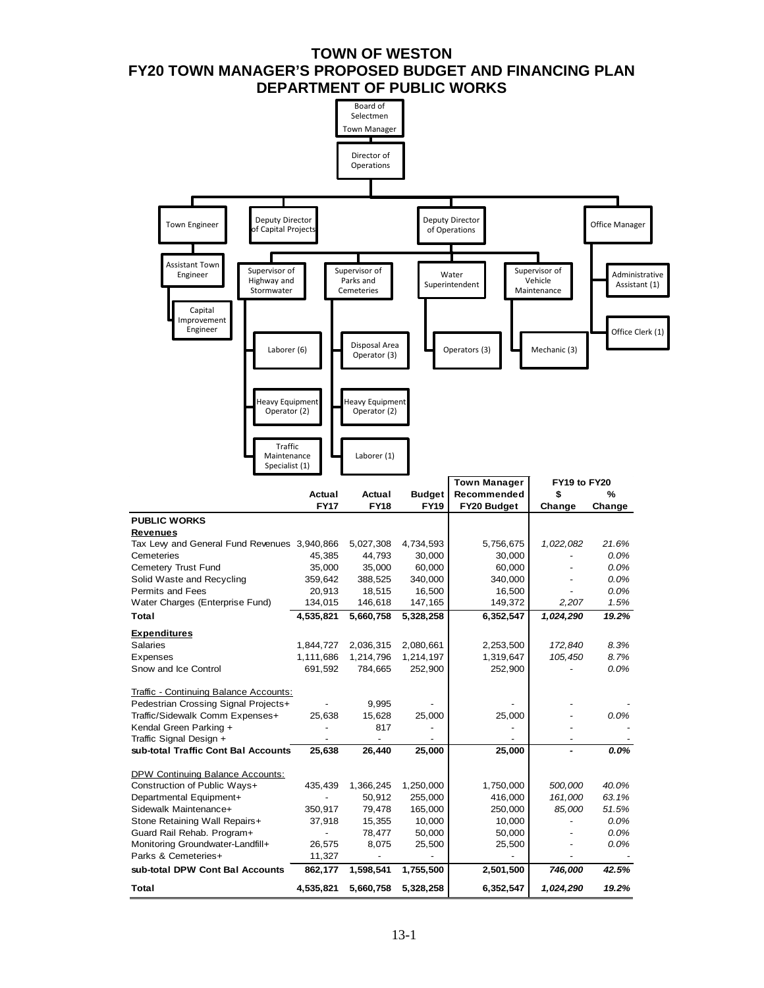### **TOWN OF WESTON FY20 TOWN MANAGER'S PROPOSED BUDGET AND FINANCING PLAN DEPARTMENT OF PUBLIC WORKS**

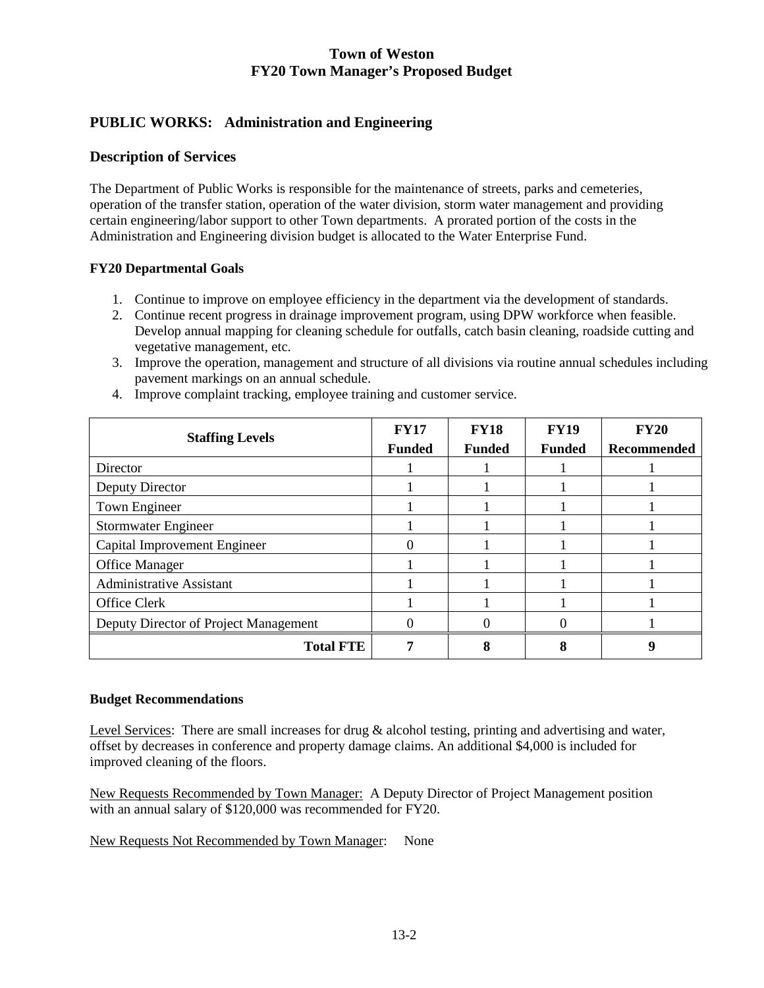# **PUBLIC WORKS: Administration and Engineering**

### **Description of Services**

The Department of Public Works is responsible for the maintenance of streets, parks and cemeteries, operation of the transfer station, operation of the water division, storm water management and providing certain engineering/labor support to other Town departments. A prorated portion of the costs in the Administration and Engineering division budget is allocated to the Water Enterprise Fund.

### **FY20 Departmental Goals**

- 1. Continue to improve on employee efficiency in the department via the development of standards.
- 2. Continue recent progress in drainage improvement program, using DPW workforce when feasible. Develop annual mapping for cleaning schedule for outfalls, catch basin cleaning, roadside cutting and vegetative management, etc.
- 3. Improve the operation, management and structure of all divisions via routine annual schedules including pavement markings on an annual schedule.

| <b>Staffing Levels</b>                | <b>FY17</b>   | <b>FY18</b>   | <b>FY19</b>   | <b>FY20</b> |
|---------------------------------------|---------------|---------------|---------------|-------------|
|                                       | <b>Funded</b> | <b>Funded</b> | <b>Funded</b> | Recommended |
| Director                              |               |               |               |             |
| Deputy Director                       |               |               |               |             |
| Town Engineer                         |               |               |               |             |
| <b>Stormwater Engineer</b>            |               |               |               |             |
| Capital Improvement Engineer          |               |               |               |             |
| Office Manager                        |               |               |               |             |
| <b>Administrative Assistant</b>       |               |               |               |             |
| Office Clerk                          |               |               |               |             |
| Deputy Director of Project Management |               |               |               |             |
| <b>Total FTE</b>                      |               | Ω             |               |             |

4. Improve complaint tracking, employee training and customer service.

#### **Budget Recommendations**

Level Services: There are small increases for drug & alcohol testing, printing and advertising and water, offset by decreases in conference and property damage claims. An additional \$4,000 is included for improved cleaning of the floors.

New Requests Recommended by Town Manager: A Deputy Director of Project Management position with an annual salary of \$120,000 was recommended for FY20.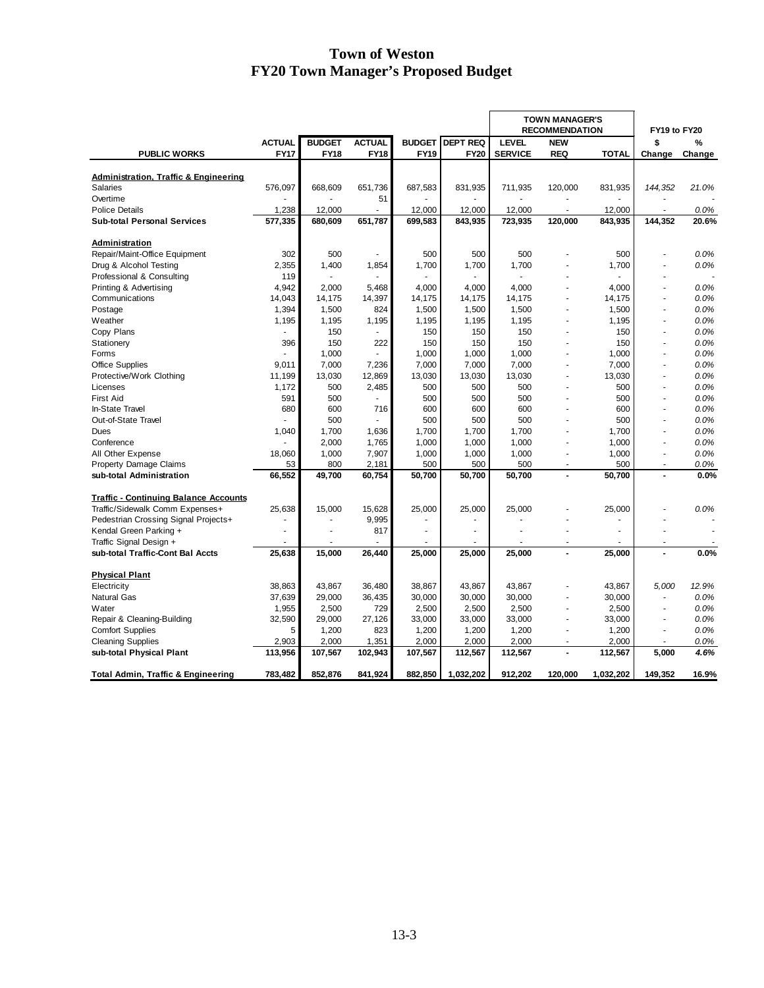|                                                    |                |               |               |               |                 | <b>TOWN MANAGER'S</b><br><b>RECOMMENDATION</b> |                          |                | FY19 to FY20             |              |
|----------------------------------------------------|----------------|---------------|---------------|---------------|-----------------|------------------------------------------------|--------------------------|----------------|--------------------------|--------------|
|                                                    | <b>ACTUAL</b>  | <b>BUDGET</b> | <b>ACTUAL</b> | <b>BUDGET</b> | <b>DEPT REQ</b> | <b>LEVEL</b>                                   | <b>NEW</b>               |                | \$                       | %            |
| <b>PUBLIC WORKS</b>                                | <b>FY17</b>    | <b>FY18</b>   | <b>FY18</b>   | <b>FY19</b>   | <b>FY20</b>     | <b>SERVICE</b>                                 | <b>REQ</b>               | <b>TOTAL</b>   | Change                   | Change       |
|                                                    |                |               |               |               |                 |                                                |                          |                |                          |              |
| <b>Administration, Traffic &amp; Engineering</b>   |                |               |               |               |                 |                                                |                          |                |                          |              |
| Salaries                                           | 576,097        | 668,609       | 651,736       | 687,583       | 831,935         | 711,935                                        | 120,000                  | 831,935        | 144, 352                 | 21.0%        |
| Overtime<br><b>Police Details</b>                  | 1,238          | 12,000        | 51<br>÷,      | 12,000        | 12,000          | 12,000                                         | $\blacksquare$           | 12,000         | $\sim$                   | 0.0%         |
| <b>Sub-total Personal Services</b>                 | 577,335        | 680,609       | 651,787       | 699,583       | 843,935         | 723,935                                        | 120,000                  | 843,935        | 144,352                  | 20.6%        |
|                                                    |                |               |               |               |                 |                                                |                          |                |                          |              |
| Administration                                     |                |               |               |               |                 |                                                |                          |                |                          |              |
| Repair/Maint-Office Equipment                      | 302            | 500           |               | 500           | 500             | 500                                            |                          | 500            |                          | 0.0%         |
| Drug & Alcohol Testing                             | 2,355          | 1,400         | 1,854         | 1,700         | 1,700           | 1,700                                          |                          | 1,700          |                          | 0.0%         |
| Professional & Consulting                          | 119            |               |               |               |                 |                                                |                          |                |                          |              |
| Printing & Advertising                             | 4,942          | 2,000         | 5,468         | 4,000         | 4,000           | 4,000                                          | L.                       | 4,000          |                          | 0.0%         |
| Communications                                     | 14,043         | 14,175        | 14,397        | 14,175        | 14,175          | 14,175                                         | ÷,                       | 14,175         | ÷,                       | 0.0%<br>0.0% |
| Postage<br>Weather                                 | 1,394<br>1,195 | 1,500         | 824<br>1,195  | 1,500         | 1,500           | 1,500                                          | $\overline{\phantom{a}}$ | 1,500<br>1,195 | ä,                       | 0.0%         |
|                                                    |                | 1,195<br>150  |               | 1,195         | 1,195           | 1,195<br>150                                   | ä,                       | 150            | ä,                       | 0.0%         |
| Copy Plans<br>Stationery                           | 396            | 150           | 222           | 150<br>150    | 150<br>150      | 150                                            | $\overline{\phantom{a}}$ | 150            | $\tilde{\phantom{a}}$    | 0.0%         |
| Forms                                              |                | 1,000         |               | 1,000         | 1,000           | 1,000                                          |                          | 1,000          | ä,                       | 0.0%         |
|                                                    | 9,011          | 7,000         | 7,236         | 7,000         | 7,000           | 7,000                                          | ÷,                       | 7,000          | ÷,                       | 0.0%         |
| <b>Office Supplies</b><br>Protective/Work Clothing | 11,199         | 13,030        | 12,869        | 13,030        | 13,030          | 13,030                                         | ä,                       | 13,030         |                          | 0.0%         |
| Licenses                                           | 1,172          | 500           | 2,485         | 500           | 500             | 500                                            | ä,                       | 500            | ÷                        | 0.0%         |
| <b>First Aid</b>                                   | 591            | 500           | ä,            | 500           | 500             | 500                                            |                          | 500            |                          | 0.0%         |
| In-State Travel                                    | 680            | 600           | 716           | 600           | 600             | 600                                            |                          | 600            | ä,                       | 0.0%         |
| Out-of-State Travel                                |                | 500           |               | 500           | 500             | 500                                            |                          | 500            |                          | 0.0%         |
| Dues                                               | 1,040          | 1,700         | 1,636         | 1,700         | 1,700           | 1,700                                          | ä,                       | 1,700          | ÷.                       | 0.0%         |
| Conference                                         |                | 2,000         | 1,765         | 1,000         | 1,000           | 1,000                                          | $\overline{\phantom{a}}$ | 1,000          | $\tilde{\phantom{a}}$    | 0.0%         |
| All Other Expense                                  | 18,060         | 1,000         | 7,907         | 1,000         | 1,000           | 1,000                                          | $\ddot{\phantom{1}}$     | 1,000          | ÷                        | 0.0%         |
| <b>Property Damage Claims</b>                      | 53             | 800           | 2,181         | 500           | 500             | 500                                            | $\overline{a}$           | 500            | $\overline{\phantom{a}}$ | 0.0%         |
| sub-total Administration                           | 66,552         | 49,700        | 60,754        | 50,700        | 50,700          | 50,700                                         |                          | 50.700         |                          | 0.0%         |
|                                                    |                |               |               |               |                 |                                                |                          |                |                          |              |
| <b>Traffic - Continuing Balance Accounts</b>       |                |               |               |               |                 |                                                |                          |                |                          |              |
| Traffic/Sidewalk Comm Expenses+                    | 25,638         | 15,000        | 15,628        | 25,000        | 25,000          | 25,000                                         |                          | 25,000         |                          | 0.0%         |
| Pedestrian Crossing Signal Projects+               | ä,             |               | 9,995         |               |                 |                                                |                          |                |                          |              |
| Kendal Green Parking +                             |                |               | 817           | ÷,            |                 |                                                |                          |                |                          |              |
| Traffic Signal Design +                            | ä,             | ä,            |               |               | ä,              | ä,                                             | $\blacksquare$           |                | $\tilde{\phantom{a}}$    |              |
| sub-total Traffic-Cont Bal Accts                   | 25.638         | 15.000        | 26.440        | 25.000        | 25.000          | 25,000                                         | $\blacksquare$           | 25.000         | L,                       | 0.0%         |
| <b>Physical Plant</b>                              |                |               |               |               |                 |                                                |                          |                |                          |              |
| Electricity                                        | 38,863         | 43,867        | 36,480        | 38,867        | 43,867          | 43,867                                         | ÷,                       | 43,867         | 5,000                    | 12.9%        |
| <b>Natural Gas</b>                                 | 37,639         | 29,000        | 36,435        | 30,000        | 30,000          | 30,000                                         | ä,                       | 30,000         | ä,                       | 0.0%         |
| Water                                              | 1,955          | 2,500         | 729           | 2,500         | 2,500           | 2,500                                          | ä,                       | 2,500          | ä,                       | 0.0%         |
| Repair & Cleaning-Building                         | 32,590         | 29,000        | 27,126        | 33,000        | 33,000          | 33,000                                         | $\ddot{\phantom{1}}$     | 33,000         | ÷.                       | 0.0%         |
| <b>Comfort Supplies</b>                            | 5              | 1,200         | 823           | 1,200         | 1,200           | 1,200                                          | L,                       | 1,200          | L,                       | 0.0%         |
| <b>Cleaning Supplies</b>                           | 2,903          | 2,000         | 1,351         | 2,000         | 2,000           | 2,000                                          |                          | 2,000          |                          | 0.0%         |
| sub-total Physical Plant                           | 113,956        | 107,567       | 102,943       | 107,567       | 112,567         | 112,567                                        | $\overline{a}$           | 112,567        | 5.000                    | 4.6%         |
| <b>Total Admin, Traffic &amp; Engineering</b>      | 783,482        | 852,876       | 841,924       | 882,850       | 1,032,202       | 912,202                                        | 120,000                  | 1,032,202      | 149,352                  | 16.9%        |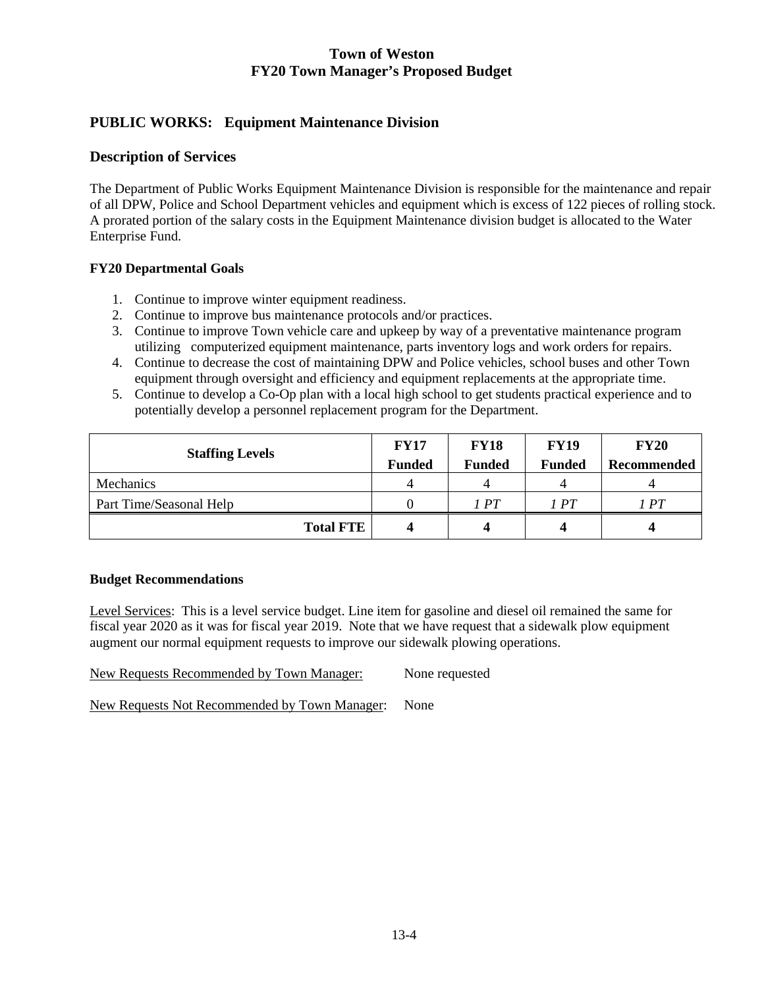# **PUBLIC WORKS: Equipment Maintenance Division**

### **Description of Services**

The Department of Public Works Equipment Maintenance Division is responsible for the maintenance and repair of all DPW, Police and School Department vehicles and equipment which is excess of 122 pieces of rolling stock. A prorated portion of the salary costs in the Equipment Maintenance division budget is allocated to the Water Enterprise Fund.

### **FY20 Departmental Goals**

- 1. Continue to improve winter equipment readiness.
- 2. Continue to improve bus maintenance protocols and/or practices.
- 3. Continue to improve Town vehicle care and upkeep by way of a preventative maintenance program utilizing computerized equipment maintenance, parts inventory logs and work orders for repairs.
- 4. Continue to decrease the cost of maintaining DPW and Police vehicles, school buses and other Town equipment through oversight and efficiency and equipment replacements at the appropriate time.
- 5. Continue to develop a Co-Op plan with a local high school to get students practical experience and to potentially develop a personnel replacement program for the Department.

| <b>Staffing Levels</b>  | <b>FY17</b>   | <b>FY18</b>   | <b>FY19</b>   | <b>FY20</b> |
|-------------------------|---------------|---------------|---------------|-------------|
|                         | <b>Funded</b> | <b>Funded</b> | <b>Funded</b> | Recommended |
| <b>Mechanics</b>        |               |               |               |             |
| Part Time/Seasonal Help |               | 1 PT          | 1PT           | 1PT         |
| <b>Total FTE</b>        |               |               |               |             |

#### **Budget Recommendations**

Level Services: This is a level service budget. Line item for gasoline and diesel oil remained the same for fiscal year 2020 as it was for fiscal year 2019. Note that we have request that a sidewalk plow equipment augment our normal equipment requests to improve our sidewalk plowing operations.

New Requests Recommended by Town Manager: None requested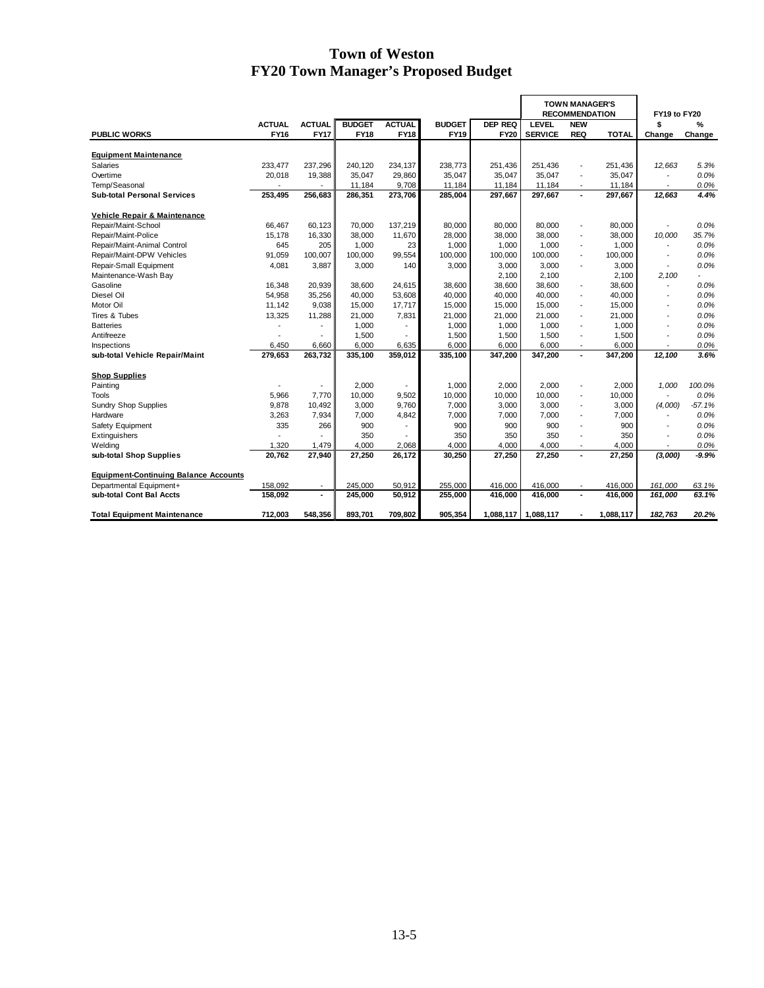|                                              |               |                          |               |                          |               |                | <b>TOWN MANAGER'S</b><br><b>RECOMMENDATION</b> |                          |           | FY19 to FY20             |          |
|----------------------------------------------|---------------|--------------------------|---------------|--------------------------|---------------|----------------|------------------------------------------------|--------------------------|-----------|--------------------------|----------|
|                                              | <b>ACTUAL</b> | <b>ACTUAL</b>            | <b>BUDGET</b> | <b>ACTUAL</b>            | <b>BUDGET</b> | <b>DEP REQ</b> | LEVEL                                          | <b>NEW</b>               |           | \$                       | %        |
| <b>PUBLIC WORKS</b>                          | <b>FY16</b>   | <b>FY17</b>              | <b>FY18</b>   | <b>FY18</b>              | <b>FY19</b>   | <b>FY20</b>    | <b>SERVICE</b>                                 | <b>REQ</b>               | TOTAL     | Change                   | Change   |
| <b>Equipment Maintenance</b>                 |               |                          |               |                          |               |                |                                                |                          |           |                          |          |
| Salaries                                     | 233,477       | 237,296                  | 240,120       | 234,137                  | 238,773       | 251,436        | 251,436                                        | $\overline{\phantom{a}}$ | 251,436   | 12,663                   | 5.3%     |
| Overtime                                     | 20,018        | 19,388                   | 35,047        | 29,860                   | 35,047        | 35,047         | 35,047                                         | $\overline{a}$           | 35,047    | $\overline{a}$           | 0.0%     |
| Temp/Seasonal                                |               |                          | 11.184        | 9,708                    | 11,184        | 11.184         | 11.184                                         |                          | 11,184    |                          | 0.0%     |
| <b>Sub-total Personal Services</b>           | 253,495       | 256,683                  | 286,351       | 273,706                  | 285,004       | 297,667        | 297,667                                        | $\blacksquare$           | 297,667   | 12,663                   | 4.4%     |
| Vehicle Repair & Maintenance                 |               |                          |               |                          |               |                |                                                |                          |           |                          |          |
| Repair/Maint-School                          | 66.467        | 60,123                   | 70,000        | 137,219                  | 80.000        | 80.000         | 80.000                                         |                          | 80,000    |                          | 0.0%     |
| Repair/Maint-Police                          | 15,178        | 16,330                   | 38,000        | 11,670                   | 28,000        | 38,000         | 38,000                                         | $\overline{\phantom{a}}$ | 38,000    | 10,000                   | 35.7%    |
| Repair/Maint-Animal Control                  | 645           | 205                      | 1,000         | 23                       | 1,000         | 1,000          | 1,000                                          | $\overline{\phantom{a}}$ | 1,000     | $\overline{\phantom{a}}$ | 0.0%     |
| Repair/Maint-DPW Vehicles                    | 91,059        | 100,007                  | 100,000       | 99,554                   | 100,000       | 100,000        | 100,000                                        | $\overline{\phantom{a}}$ | 100,000   |                          | 0.0%     |
| Repair-Small Equipment                       | 4,081         | 3,887                    | 3,000         | 140                      | 3,000         | 3,000          | 3,000                                          |                          | 3,000     |                          | 0.0%     |
| Maintenance-Wash Bay                         |               |                          |               |                          |               | 2,100          | 2,100                                          |                          | 2,100     | 2,100                    |          |
| Gasoline                                     | 16,348        | 20,939                   | 38,600        | 24,615                   | 38,600        | 38,600         | 38,600                                         | $\overline{\phantom{a}}$ | 38,600    | $\overline{a}$           | 0.0%     |
| Diesel Oil                                   | 54,958        | 35,256                   | 40,000        | 53,608                   | 40,000        | 40,000         | 40,000                                         | $\overline{\phantom{a}}$ | 40,000    |                          | 0.0%     |
| Motor Oil                                    | 11,142        | 9,038                    | 15,000        | 17,717                   | 15,000        | 15,000         | 15,000                                         | $\overline{\phantom{a}}$ | 15,000    |                          | 0.0%     |
| Tires & Tubes                                | 13,325        | 11,288                   | 21,000        | 7,831                    | 21,000        | 21,000         | 21,000                                         | $\overline{\phantom{a}}$ | 21,000    | $\overline{a}$           | 0.0%     |
| <b>Batteries</b>                             |               |                          | 1,000         | $\overline{\phantom{a}}$ | 1,000         | 1,000          | 1,000                                          | $\blacksquare$           | 1,000     | $\overline{a}$           | 0.0%     |
| Antifreeze                                   |               |                          | 1,500         |                          | 1,500         | 1,500          | 1,500                                          | $\overline{\phantom{a}}$ | 1,500     |                          | 0.0%     |
| Inspections                                  | 6,450         | 6,660                    | 6,000         | 6,635                    | 6,000         | 6,000          | 6,000                                          | $\overline{\phantom{a}}$ | 6,000     | $\overline{\phantom{a}}$ | 0.0%     |
| sub-total Vehicle Repair/Maint               | 279,653       | 263,732                  | 335,100       | 359,012                  | 335,100       | 347,200        | 347,200                                        | ä,                       | 347,200   | 12,100                   | 3.6%     |
| <b>Shop Supplies</b>                         |               |                          |               |                          |               |                |                                                |                          |           |                          |          |
| Painting                                     |               |                          | 2,000         |                          | 1,000         | 2.000          | 2.000                                          | $\overline{\phantom{a}}$ | 2,000     | 1.000                    | 100.0%   |
| Tools                                        | 5,966         | 7.770                    | 10,000        | 9,502                    | 10,000        | 10,000         | 10,000                                         | $\overline{a}$           | 10,000    | $\overline{a}$           | 0.0%     |
| <b>Sundry Shop Supplies</b>                  | 9,878         | 10,492                   | 3,000         | 9,760                    | 7,000         | 3,000          | 3,000                                          | $\blacksquare$           | 3,000     | (4,000)                  | $-57.1%$ |
| Hardware                                     | 3,263         | 7,934                    | 7,000         | 4,842                    | 7,000         | 7,000          | 7,000                                          | $\overline{\phantom{a}}$ | 7,000     | $\overline{\phantom{a}}$ | 0.0%     |
| Safety Equipment                             | 335           | 266                      | 900           | $\overline{\phantom{a}}$ | 900           | 900            | 900                                            | $\blacksquare$           | 900       |                          | 0.0%     |
| Extinguishers                                |               |                          | 350           |                          | 350           | 350            | 350                                            | $\blacksquare$           | 350       |                          | 0.0%     |
| Welding                                      | 1,320         | 1,479                    | 4,000         | 2,068                    | 4,000         | 4,000          | 4,000                                          | $\overline{\phantom{a}}$ | 4,000     | $\overline{\phantom{a}}$ | 0.0%     |
| sub-total Shop Supplies                      | 20,762        | 27,940                   | 27,250        | 26,172                   | 30,250        | 27,250         | 27,250                                         | ٠                        | 27,250    | (3,000)                  | $-9.9%$  |
| <b>Equipment-Continuing Balance Accounts</b> |               |                          |               |                          |               |                |                                                |                          |           |                          |          |
| Departmental Equipment+                      | 158,092       | $\overline{\phantom{a}}$ | 245,000       | 50,912                   | 255,000       | 416,000        | 416,000                                        | $\blacksquare$           | 416,000   | 161,000                  | 63.1%    |
| sub-total Cont Bal Accts                     | 158.092       | $\blacksquare$           | 245,000       | 50,912                   | 255,000       | 416,000        | 416,000                                        | $\blacksquare$           | 416.000   | 161,000                  | 63.1%    |
| <b>Total Equipment Maintenance</b>           | 712.003       | 548.356                  | 893,701       | 709.802                  | 905,354       |                | 1,088,117 1,088,117                            |                          | 1,088,117 | 182,763                  | 20.2%    |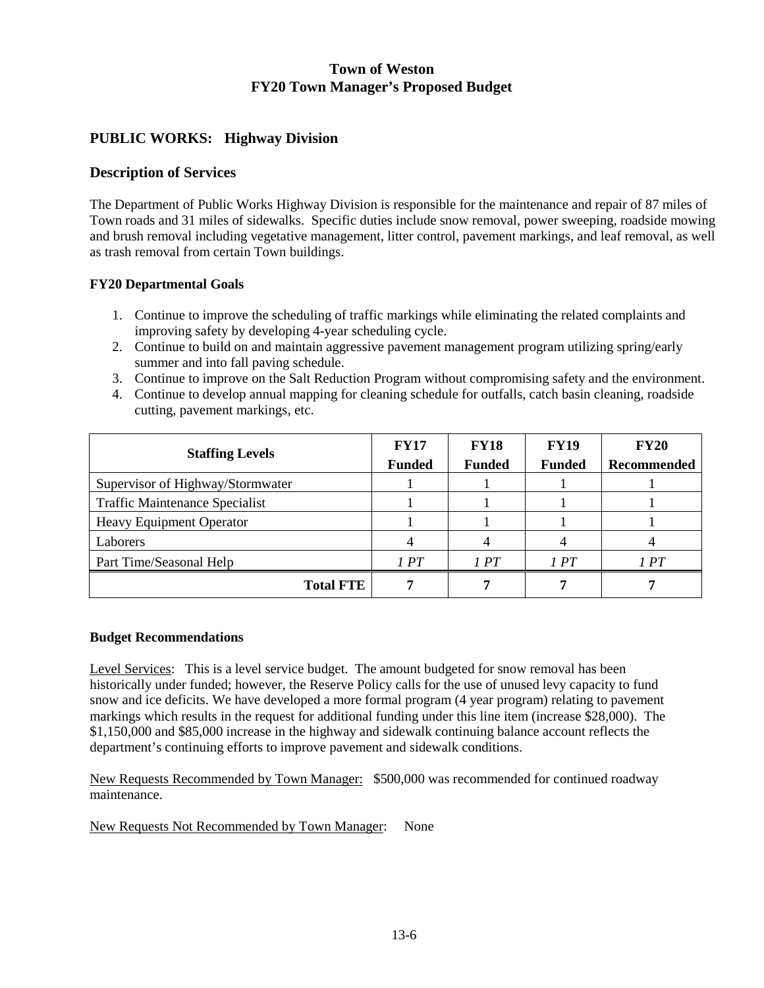## **PUBLIC WORKS: Highway Division**

### **Description of Services**

The Department of Public Works Highway Division is responsible for the maintenance and repair of 87 miles of Town roads and 31 miles of sidewalks. Specific duties include snow removal, power sweeping, roadside mowing and brush removal including vegetative management, litter control, pavement markings, and leaf removal, as well as trash removal from certain Town buildings.

#### **FY20 Departmental Goals**

- 1. Continue to improve the scheduling of traffic markings while eliminating the related complaints and improving safety by developing 4-year scheduling cycle.
- 2. Continue to build on and maintain aggressive pavement management program utilizing spring/early summer and into fall paving schedule.
- 3. Continue to improve on the Salt Reduction Program without compromising safety and the environment.
- 4. Continue to develop annual mapping for cleaning schedule for outfalls, catch basin cleaning, roadside cutting, pavement markings, etc.

| <b>Staffing Levels</b>                | <b>FY17</b><br><b>Funded</b> | <b>FY18</b><br><b>Funded</b> | <b>FY19</b><br><b>Funded</b> | <b>FY20</b><br>Recommended |
|---------------------------------------|------------------------------|------------------------------|------------------------------|----------------------------|
| Supervisor of Highway/Stormwater      |                              |                              |                              |                            |
| <b>Traffic Maintenance Specialist</b> |                              |                              |                              |                            |
| <b>Heavy Equipment Operator</b>       |                              |                              |                              |                            |
| Laborers                              |                              |                              |                              |                            |
| Part Time/Seasonal Help               | 1PT                          | 1PT                          | 1PT                          | 1PT                        |
| <b>Total FTE</b>                      |                              |                              |                              |                            |

#### **Budget Recommendations**

Level Services: This is a level service budget. The amount budgeted for snow removal has been historically under funded; however, the Reserve Policy calls for the use of unused levy capacity to fund snow and ice deficits. We have developed a more formal program (4 year program) relating to pavement markings which results in the request for additional funding under this line item (increase \$28,000). The \$1,150,000 and \$85,000 increase in the highway and sidewalk continuing balance account reflects the department's continuing efforts to improve pavement and sidewalk conditions.

New Requests Recommended by Town Manager: \$500,000 was recommended for continued roadway maintenance.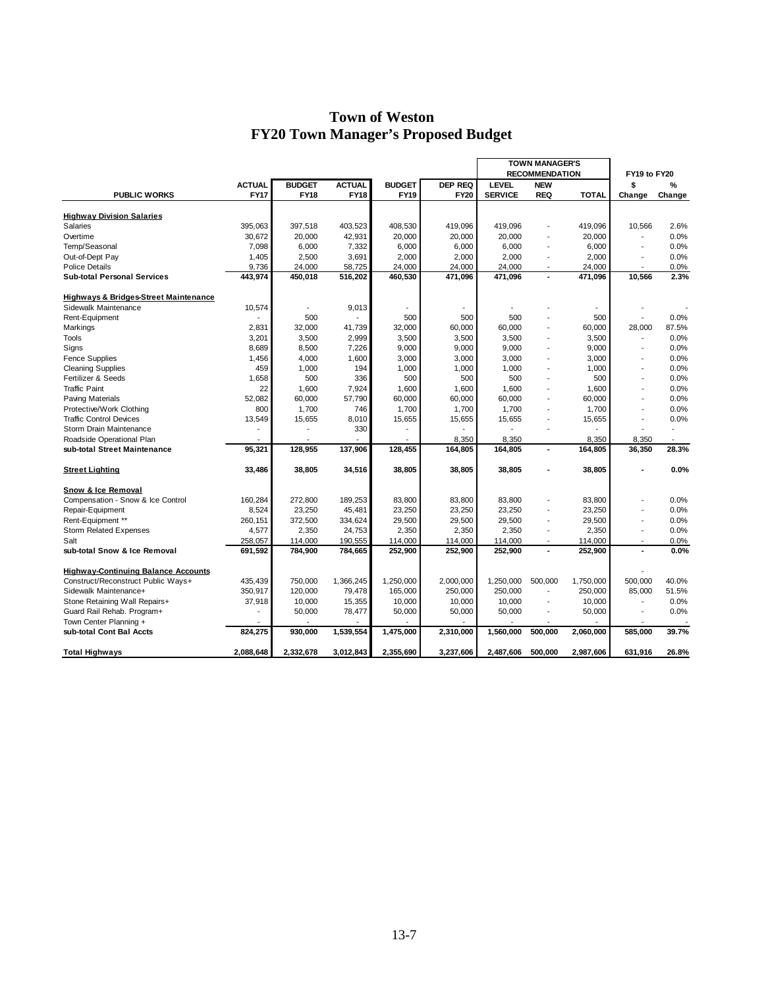|                                                  |               |                          |               |               |                | <b>TOWN MANAGER'S</b> |                          |              |                          |                |
|--------------------------------------------------|---------------|--------------------------|---------------|---------------|----------------|-----------------------|--------------------------|--------------|--------------------------|----------------|
|                                                  |               |                          |               |               |                |                       | <b>RECOMMENDATION</b>    |              | FY19 to FY20             |                |
|                                                  | <b>ACTUAL</b> | <b>BUDGET</b>            | <b>ACTUAL</b> | <b>BUDGET</b> | <b>DEP REQ</b> | <b>LEVEL</b>          | <b>NEW</b>               |              | \$                       | %              |
| <b>PUBLIC WORKS</b>                              | <b>FY17</b>   | <b>FY18</b>              | <b>FY18</b>   | <b>FY19</b>   | <b>FY20</b>    | <b>SERVICE</b>        | <b>REQ</b>               | <b>TOTAL</b> | Change                   | Change         |
|                                                  |               |                          |               |               |                |                       |                          |              |                          |                |
| <b>Highway Division Salaries</b>                 |               |                          |               |               |                |                       |                          |              |                          |                |
| Salaries                                         | 395,063       | 397,518                  | 403,523       | 408,530       | 419,096        | 419,096               |                          | 419,096      | 10,566                   | 2.6%           |
| Overtime                                         | 30,672        | 20,000                   | 42,931        | 20,000        | 20,000         | 20,000                |                          | 20,000       | $\overline{a}$           | 0.0%           |
| Temp/Seasonal                                    | 7,098         | 6,000                    | 7,332         | 6,000         | 6,000          | 6,000                 |                          | 6,000        | $\overline{\phantom{a}}$ | 0.0%           |
| Out-of-Dept Pay                                  | 1,405         | 2,500                    | 3,691         | 2,000         | 2,000          | 2,000                 |                          | 2,000        |                          | 0.0%           |
| <b>Police Details</b>                            | 9,736         | 24,000                   | 58,725        | 24,000        | 24,000         | 24,000                |                          | 24,000       |                          | 0.0%           |
| <b>Sub-total Personal Services</b>               | 443,974       | 450,018                  | 516,202       | 460,530       | 471,096        | 471,096               |                          | 471,096      | 10.566                   | 2.3%           |
| <b>Highways &amp; Bridges-Street Maintenance</b> |               |                          |               |               |                |                       |                          |              |                          |                |
| Sidewalk Maintenance                             | 10,574        | $\overline{\phantom{a}}$ | 9,013         |               |                |                       |                          |              |                          |                |
| Rent-Equipment                                   |               | 500                      |               | 500           | 500            | 500                   |                          | 500          |                          | 0.0%           |
| Markings                                         | 2,831         | 32,000                   | 41,739        | 32,000        | 60,000         | 60,000                |                          | 60,000       | 28,000                   | 87.5%          |
| Tools                                            | 3,201         | 3,500                    | 2,999         | 3,500         | 3,500          | 3,500                 |                          | 3,500        |                          | 0.0%           |
| Signs                                            | 8,689         | 8,500                    | 7,226         | 9,000         | 9,000          | 9,000                 |                          | 9,000        | $\overline{a}$           | 0.0%           |
| <b>Fence Supplies</b>                            | 1,456         | 4,000                    | 1,600         | 3,000         | 3,000          | 3,000                 |                          | 3,000        |                          | 0.0%           |
| <b>Cleaning Supplies</b>                         | 459           | 1,000                    | 194           | 1,000         | 1.000          | 1,000                 |                          | 1.000        | $\overline{\phantom{a}}$ | 0.0%           |
| Fertilizer & Seeds                               | 1,658         | 500                      | 336           | 500           | 500            | 500                   |                          | 500          | $\overline{\phantom{a}}$ | 0.0%           |
| <b>Traffic Paint</b>                             | 22            | 1,600                    | 7,924         | 1,600         | 1,600          | 1,600                 |                          | 1,600        | $\overline{a}$           | 0.0%           |
| <b>Paving Materials</b>                          | 52.082        | 60,000                   | 57,790        | 60,000        | 60,000         | 60,000                |                          | 60,000       |                          | 0.0%           |
| Protective/Work Clothing                         | 800           | 1,700                    | 746           | 1,700         | 1,700          | 1,700                 |                          | 1,700        |                          | 0.0%           |
| <b>Traffic Control Devices</b>                   | 13,549        | 15,655                   | 8,010         | 15,655        | 15,655         | 15,655                |                          | 15,655       | $\overline{\phantom{a}}$ | 0.0%           |
| Storm Drain Maintenance                          |               | $\overline{a}$           | 330           |               |                |                       |                          |              |                          | $\overline{a}$ |
| Roadside Operational Plan                        |               |                          |               |               | 8,350          | 8,350                 |                          | 8,350        | 8,350                    |                |
| sub-total Street Maintenance                     | 95,321        | 128,955                  | 137,906       | 128,455       | 164,805        | 164,805               | $\blacksquare$           | 164,805      | 36,350                   | 28.3%          |
|                                                  |               |                          |               |               |                |                       |                          |              |                          |                |
| <b>Street Lighting</b>                           | 33,486        | 38,805                   | 34,516        | 38,805        | 38,805         | 38,805                |                          | 38,805       |                          | 0.0%           |
| Snow & Ice Removal                               |               |                          |               |               |                |                       |                          |              |                          |                |
| Compensation - Snow & Ice Control                | 160,284       | 272,800                  | 189,253       | 83,800        | 83,800         | 83,800                |                          | 83,800       |                          | 0.0%           |
| Repair-Equipment                                 | 8,524         | 23,250                   | 45,481        | 23,250        | 23,250         | 23,250                |                          | 23,250       |                          | 0.0%           |
| Rent-Equipment **                                | 260,151       | 372,500                  | 334,624       | 29,500        | 29,500         | 29,500                | $\overline{\phantom{a}}$ | 29,500       | $\overline{a}$           | 0.0%           |
| <b>Storm Related Expenses</b>                    | 4,577         | 2,350                    | 24,753        | 2,350         | 2,350          | 2,350                 |                          | 2,350        |                          | 0.0%           |
| Salt                                             | 258,057       | 114,000                  | 190,555       | 114,000       | 114,000        | 114,000               |                          | 114,000      | $\overline{\phantom{a}}$ | 0.0%           |
| sub-total Snow & Ice Removal                     | 691,592       | 784,900                  | 784,665       | 252,900       | 252,900        | 252,900               |                          | 252,900      |                          | 0.0%           |
| <b>Highway-Continuing Balance Accounts</b>       |               |                          |               |               |                |                       |                          |              |                          |                |
| Construct/Reconstruct Public Ways+               | 435,439       | 750,000                  | 1,366,245     | 1,250,000     | 2,000,000      | 1,250,000             | 500,000                  | 1,750,000    | 500,000                  | 40.0%          |
| Sidewalk Maintenance+                            | 350,917       | 120,000                  | 79,478        | 165,000       | 250,000        | 250,000               |                          | 250,000      | 85,000                   | 51.5%          |
| Stone Retaining Wall Repairs+                    | 37,918        | 10,000                   | 15,355        | 10,000        | 10,000         | 10,000                | $\overline{\phantom{a}}$ | 10,000       | $\overline{\phantom{a}}$ | 0.0%           |
| Guard Rail Rehab. Program+                       |               | 50,000                   | 78,477        | 50,000        | 50,000         | 50,000                |                          | 50,000       |                          | 0.0%           |
| Town Center Planning +                           |               |                          |               |               |                |                       |                          |              |                          |                |
| sub-total Cont Bal Accts                         | 824.275       | 930,000                  | 1,539,554     | 1,475,000     | 2,310,000      | 1,560,000             | 500.000                  | 2,060,000    | 585.000                  | 39.7%          |
| <b>Total Highways</b>                            | 2.088.648     | 2,332,678                | 3,012,843     | 2,355,690     | 3,237,606      | 2,487,606             | 500.000                  | 2,987,606    | 631,916                  | 26.8%          |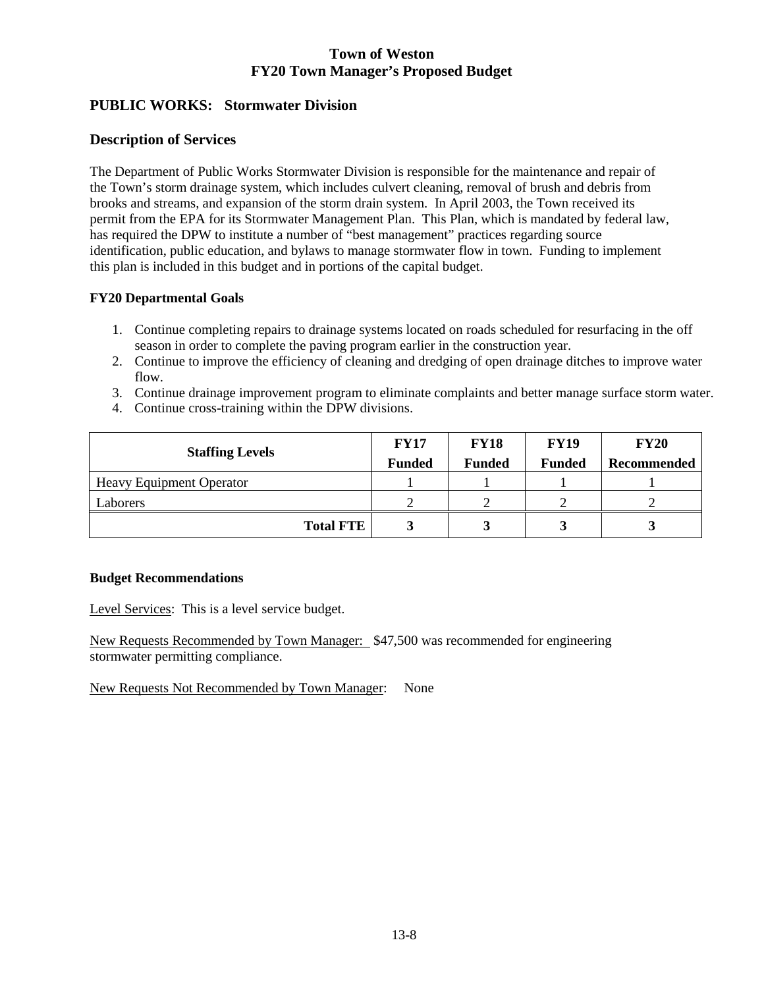# **PUBLIC WORKS: Stormwater Division**

### **Description of Services**

The Department of Public Works Stormwater Division is responsible for the maintenance and repair of the Town's storm drainage system, which includes culvert cleaning, removal of brush and debris from brooks and streams, and expansion of the storm drain system. In April 2003, the Town received its permit from the EPA for its Stormwater Management Plan. This Plan, which is mandated by federal law, has required the DPW to institute a number of "best management" practices regarding source identification, public education, and bylaws to manage stormwater flow in town. Funding to implement this plan is included in this budget and in portions of the capital budget.

### **FY20 Departmental Goals**

- 1. Continue completing repairs to drainage systems located on roads scheduled for resurfacing in the off season in order to complete the paving program earlier in the construction year.
- 2. Continue to improve the efficiency of cleaning and dredging of open drainage ditches to improve water flow.
- 3. Continue drainage improvement program to eliminate complaints and better manage surface storm water.
- 4. Continue cross-training within the DPW divisions.

| <b>Staffing Levels</b>          | <b>FY17</b><br><b>Funded</b> | <b>FY18</b><br><b>Funded</b> | <b>FY19</b><br><b>Funded</b> | <b>FY20</b><br>Recommended |
|---------------------------------|------------------------------|------------------------------|------------------------------|----------------------------|
| <b>Heavy Equipment Operator</b> |                              |                              |                              |                            |
| Laborers                        |                              |                              |                              |                            |
| <b>Total FTE</b>                |                              |                              |                              |                            |

### **Budget Recommendations**

Level Services: This is a level service budget.

New Requests Recommended by Town Manager: \$47,500 was recommended for engineering stormwater permitting compliance.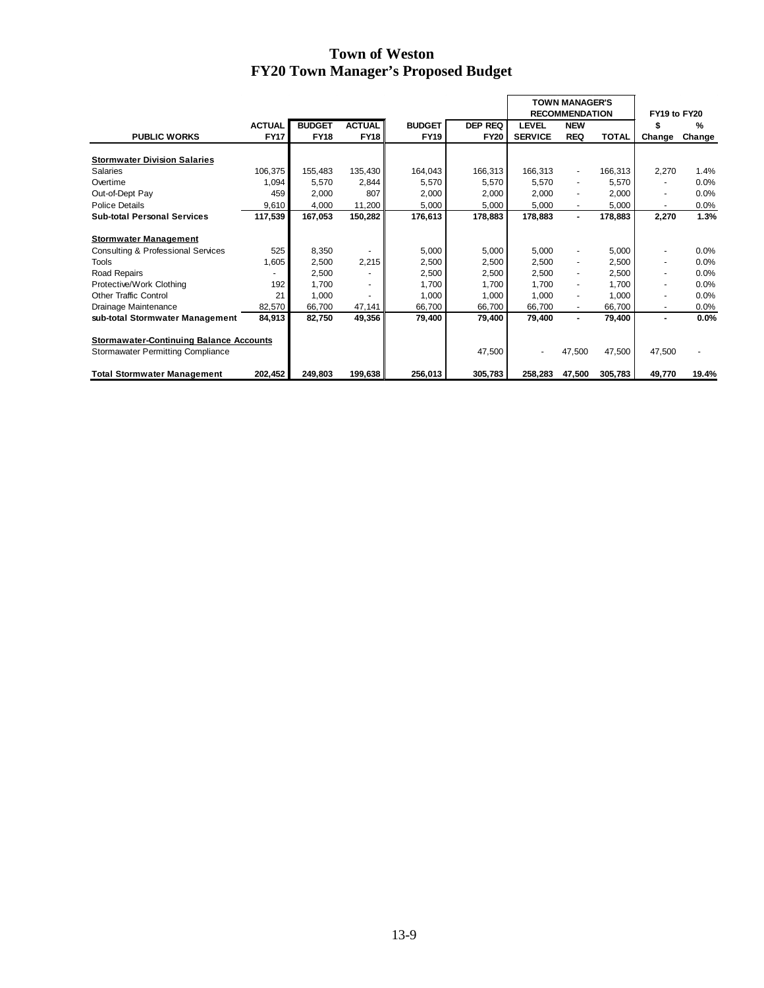|                                                                                            |               |               |               |               |             | <b>TOWN MANAGER'S</b> |                          |              |                |        |
|--------------------------------------------------------------------------------------------|---------------|---------------|---------------|---------------|-------------|-----------------------|--------------------------|--------------|----------------|--------|
|                                                                                            |               |               |               |               |             |                       | <b>RECOMMENDATION</b>    |              | FY19 to FY20   |        |
|                                                                                            | <b>ACTUAL</b> | <b>BUDGET</b> | <b>ACTUAL</b> | <b>BUDGET</b> | DEP REQ     | <b>LEVEL</b>          | <b>NEW</b>               |              |                | %      |
| <b>PUBLIC WORKS</b>                                                                        | <b>FY17</b>   | <b>FY18</b>   | <b>FY18</b>   | <b>FY19</b>   | <b>FY20</b> | <b>SERVICE</b>        | <b>REQ</b>               | <b>TOTAL</b> | Change         | Change |
| <b>Stormwater Division Salaries</b>                                                        |               |               |               |               |             |                       |                          |              |                |        |
| Salaries                                                                                   | 106,375       | 155,483       | 135,430       | 164,043       | 166,313     | 166,313               | $\overline{\phantom{a}}$ | 166,313      | 2,270          | 1.4%   |
| Overtime                                                                                   | 1,094         | 5,570         | 2,844         | 5,570         | 5,570       | 5,570                 | $\overline{\phantom{a}}$ | 5,570        | $\blacksquare$ | 0.0%   |
| Out-of-Dept Pay                                                                            | 459           | 2,000         | 807           | 2,000         | 2,000       | 2,000                 | $\overline{\phantom{a}}$ | 2,000        | $\blacksquare$ | 0.0%   |
| Police Details                                                                             | 9,610         | 4,000         | 11,200        | 5,000         | 5,000       | 5,000                 | ٠                        | 5,000        | ٠              | 0.0%   |
| <b>Sub-total Personal Services</b>                                                         | 117,539       | 167,053       | 150,282       | 176,613       | 178,883     | 178,883               | $\blacksquare$           | 178,883      | 2,270          | 1.3%   |
| <b>Stormwater Management</b>                                                               |               |               |               |               |             |                       |                          |              |                |        |
| <b>Consulting &amp; Professional Services</b>                                              | 525           | 8,350         |               | 5,000         | 5,000       | 5,000                 | ۰                        | 5,000        |                | 0.0%   |
| <b>Tools</b>                                                                               | 1,605         | 2,500         | 2,215         | 2,500         | 2,500       | 2,500                 | $\overline{\phantom{a}}$ | 2,500        | $\blacksquare$ | 0.0%   |
| Road Repairs                                                                               |               | 2,500         |               | 2,500         | 2,500       | 2,500                 | $\overline{\phantom{a}}$ | 2,500        | ٠              | 0.0%   |
| Protective/Work Clothing                                                                   | 192           | 1.700         |               | 1,700         | 1,700       | 1,700                 | $\overline{\phantom{a}}$ | 1,700        |                | 0.0%   |
| <b>Other Traffic Control</b>                                                               | 21            | 1,000         |               | 1,000         | 1,000       | 1,000                 | ٠                        | 1,000        | $\blacksquare$ | 0.0%   |
| Drainage Maintenance                                                                       | 82,570        | 66,700        | 47,141        | 66,700        | 66,700      | 66,700                | $\blacksquare$           | 66,700       | $\sim$         | 0.0%   |
| sub-total Stormwater Management                                                            | 84,913        | 82,750        | 49,356        | 79,400        | 79,400      | 79,400                | ۰                        | 79,400       | $\blacksquare$ | 0.0%   |
| <b>Stormawater-Continuing Balance Accounts</b><br><b>Stormawater Permitting Compliance</b> |               |               |               |               | 47,500      |                       | 47,500                   | 47,500       | 47,500         |        |
| <b>Total Stormwater Management</b>                                                         | 202,452       | 249,803       | 199,638       | 256,013       | 305,783     | 258,283               | 47,500                   | 305,783      | 49,770         | 19.4%  |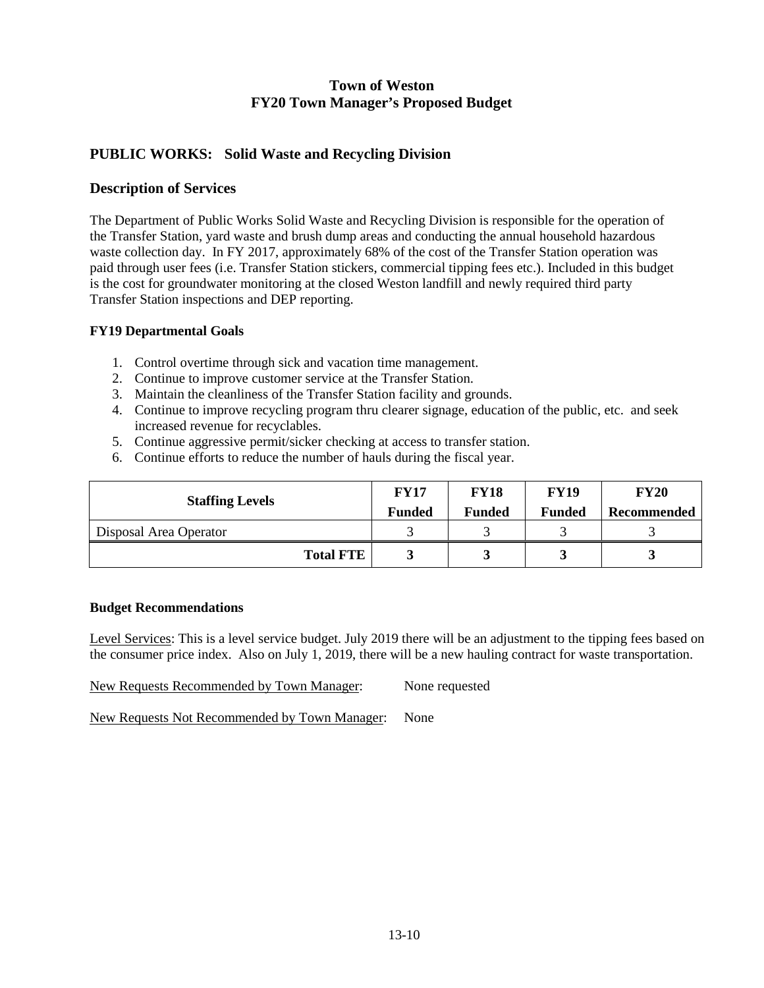## **PUBLIC WORKS: Solid Waste and Recycling Division**

### **Description of Services**

The Department of Public Works Solid Waste and Recycling Division is responsible for the operation of the Transfer Station, yard waste and brush dump areas and conducting the annual household hazardous waste collection day. In FY 2017, approximately 68% of the cost of the Transfer Station operation was paid through user fees (i.e. Transfer Station stickers, commercial tipping fees etc.). Included in this budget is the cost for groundwater monitoring at the closed Weston landfill and newly required third party Transfer Station inspections and DEP reporting.

#### **FY19 Departmental Goals**

- 1. Control overtime through sick and vacation time management.
- 2. Continue to improve customer service at the Transfer Station.
- 3. Maintain the cleanliness of the Transfer Station facility and grounds.
- 4. Continue to improve recycling program thru clearer signage, education of the public, etc. and seek increased revenue for recyclables.
- 5. Continue aggressive permit/sicker checking at access to transfer station.
- 6. Continue efforts to reduce the number of hauls during the fiscal year.

| <b>Staffing Levels</b> | <b>FY17</b><br><b>Funded</b> | <b>FY18</b><br><b>Funded</b> | <b>FY19</b><br><b>Funded</b> | <b>FY20</b><br>Recommended |
|------------------------|------------------------------|------------------------------|------------------------------|----------------------------|
| Disposal Area Operator |                              |                              |                              |                            |
| <b>Total FTE</b>       |                              |                              |                              |                            |

#### **Budget Recommendations**

Level Services: This is a level service budget. July 2019 there will be an adjustment to the tipping fees based on the consumer price index. Also on July 1, 2019, there will be a new hauling contract for waste transportation.

New Requests Recommended by Town Manager: None requested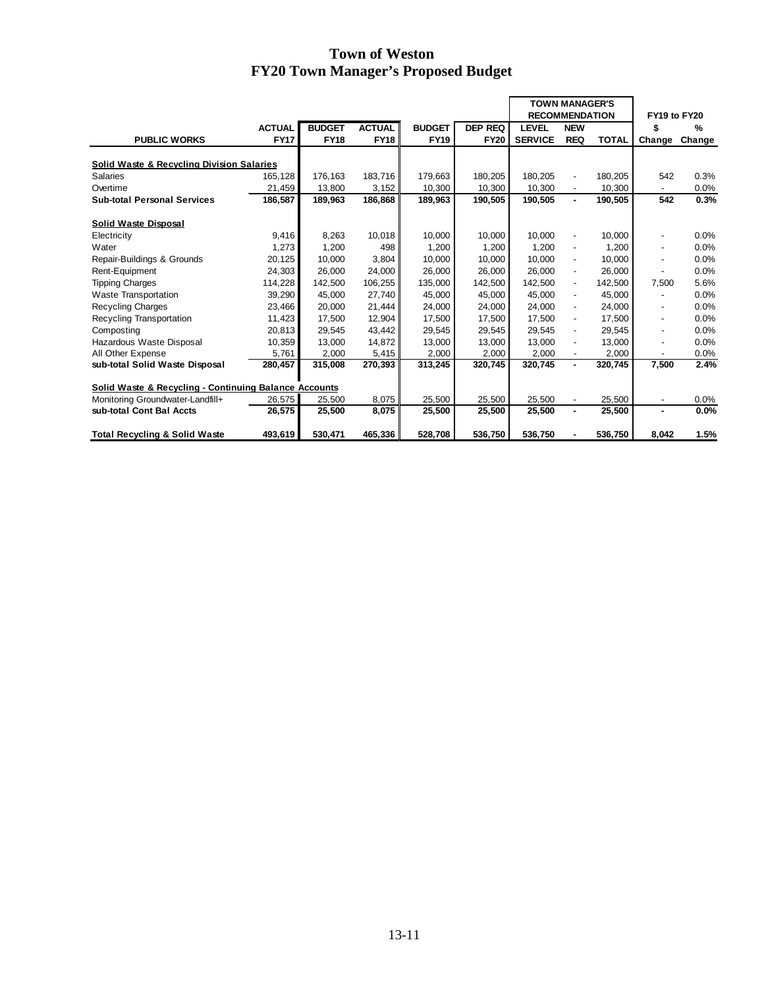|                                                       |               |               |               |               |                | <b>TOWN MANAGER'S</b><br><b>RECOMMENDATION</b> |                          |              | FY19 to FY20             |               |
|-------------------------------------------------------|---------------|---------------|---------------|---------------|----------------|------------------------------------------------|--------------------------|--------------|--------------------------|---------------|
|                                                       |               |               |               |               |                |                                                |                          |              |                          |               |
|                                                       | <b>ACTUAL</b> | <b>BUDGET</b> | <b>ACTUAL</b> | <b>BUDGET</b> | <b>DEP REQ</b> | <b>LEVEL</b>                                   | <b>NEW</b>               |              | \$                       | $\frac{9}{6}$ |
| <b>PUBLIC WORKS</b>                                   | <b>FY17</b>   | <b>FY18</b>   | <b>FY18</b>   | <b>FY19</b>   | <b>FY20</b>    | <b>SERVICE</b>                                 | <b>REQ</b>               | <b>TOTAL</b> | Change                   | Change        |
| <b>Solid Waste &amp; Recycling Division Salaries</b>  |               |               |               |               |                |                                                |                          |              |                          |               |
| <b>Salaries</b>                                       | 165.128       | 176.163       | 183.716       | 179.663       | 180,205        | 180.205                                        | $\overline{a}$           | 180,205      | 542                      | 0.3%          |
| Overtime                                              | 21,459        | 13,800        | 3,152         | 10,300        | 10,300         | 10,300                                         |                          | 10,300       |                          | 0.0%          |
| <b>Sub-total Personal Services</b>                    | 186,587       | 189,963       | 186,868       | 189,963       | 190,505        | 190,505                                        | ٠                        | 190,505      | 542                      | 0.3%          |
| <b>Solid Waste Disposal</b>                           |               |               |               |               |                |                                                |                          |              |                          |               |
| Electricity                                           | 9,416         | 8,263         | 10,018        | 10,000        | 10,000         | 10,000                                         | $\overline{a}$           | 10,000       |                          | 0.0%          |
| Water                                                 | 1,273         | 1,200         | 498           | 1,200         | 1,200          | 1.200                                          | $\overline{\phantom{a}}$ | 1,200        |                          | 0.0%          |
| Repair-Buildings & Grounds                            | 20,125        | 10.000        | 3.804         | 10.000        | 10.000         | 10.000                                         | $\overline{\phantom{a}}$ | 10.000       | $\overline{\phantom{a}}$ | 0.0%          |
| Rent-Equipment                                        | 24,303        | 26,000        | 24,000        | 26,000        | 26,000         | 26,000                                         | $\overline{\phantom{a}}$ | 26,000       |                          | 0.0%          |
| <b>Tipping Charges</b>                                | 114,228       | 142,500       | 106,255       | 135,000       | 142,500        | 142,500                                        | $\overline{\phantom{a}}$ | 142,500      | 7,500                    | 5.6%          |
| <b>Waste Transportation</b>                           | 39,290        | 45,000        | 27,740        | 45,000        | 45,000         | 45,000                                         | $\overline{\phantom{a}}$ | 45,000       |                          | 0.0%          |
| <b>Recycling Charges</b>                              | 23,466        | 20,000        | 21,444        | 24,000        | 24,000         | 24,000                                         | $\overline{a}$           | 24,000       |                          | 0.0%          |
| Recycling Transportation                              | 11,423        | 17,500        | 12,904        | 17,500        | 17,500         | 17,500                                         | $\overline{\phantom{a}}$ | 17,500       | $\overline{\phantom{a}}$ | 0.0%          |
| Composting                                            | 20,813        | 29,545        | 43,442        | 29,545        | 29,545         | 29,545                                         | $\overline{\phantom{a}}$ | 29,545       |                          | 0.0%          |
| Hazardous Waste Disposal                              | 10,359        | 13,000        | 14,872        | 13,000        | 13,000         | 13,000                                         | $\overline{\phantom{m}}$ | 13,000       | $\overline{\phantom{a}}$ | 0.0%          |
| All Other Expense                                     | 5,761         | 2,000         | 5,415         | 2,000         | 2,000          | 2,000                                          | $\overline{\phantom{a}}$ | 2,000        | $\overline{\phantom{a}}$ | 0.0%          |
| sub-total Solid Waste Disposal                        | 280,457       | 315,008       | 270,393       | 313,245       | 320,745        | 320,745                                        | ٠                        | 320,745      | 7,500                    | 2.4%          |
|                                                       |               |               |               |               |                |                                                |                          |              |                          |               |
| Solid Waste & Recycling - Continuing Balance Accounts |               |               |               |               |                |                                                |                          |              |                          |               |
| Monitoring Groundwater-Landfill+                      | 26,575        | 25,500        | 8,075         | 25,500        | 25,500         | 25,500                                         | $\overline{\phantom{a}}$ | 25,500       | $\overline{\phantom{a}}$ | 0.0%          |
| sub-total Cont Bal Accts                              | 26,575        | 25,500        | 8,075         | 25,500        | 25,500         | 25,500                                         | ٠                        | 25,500       | $\blacksquare$           | 0.0%          |
| <b>Total Recycling &amp; Solid Waste</b>              | 493,619       | 530.471       | 465,336       | 528,708       | 536,750        | 536,750                                        |                          | 536.750      | 8.042                    | 1.5%          |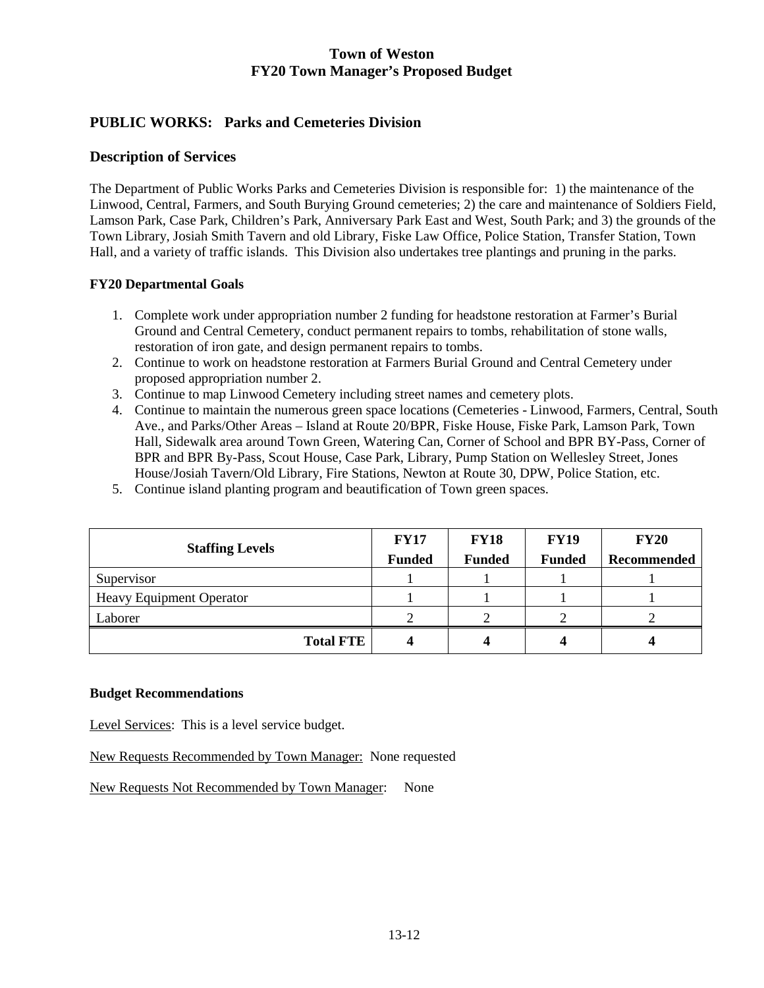# **PUBLIC WORKS: Parks and Cemeteries Division**

### **Description of Services**

The Department of Public Works Parks and Cemeteries Division is responsible for: 1) the maintenance of the Linwood, Central, Farmers, and South Burying Ground cemeteries; 2) the care and maintenance of Soldiers Field, Lamson Park, Case Park, Children's Park, Anniversary Park East and West, South Park; and 3) the grounds of the Town Library, Josiah Smith Tavern and old Library, Fiske Law Office, Police Station, Transfer Station, Town Hall, and a variety of traffic islands. This Division also undertakes tree plantings and pruning in the parks.

### **FY20 Departmental Goals**

- 1. Complete work under appropriation number 2 funding for headstone restoration at Farmer's Burial Ground and Central Cemetery, conduct permanent repairs to tombs, rehabilitation of stone walls, restoration of iron gate, and design permanent repairs to tombs.
- 2. Continue to work on headstone restoration at Farmers Burial Ground and Central Cemetery under proposed appropriation number 2.
- 3. Continue to map Linwood Cemetery including street names and cemetery plots.
- 4. Continue to maintain the numerous green space locations (Cemeteries Linwood, Farmers, Central, South Ave., and Parks/Other Areas – Island at Route 20/BPR, Fiske House, Fiske Park, Lamson Park, Town Hall, Sidewalk area around Town Green, Watering Can, Corner of School and BPR BY-Pass, Corner of BPR and BPR By-Pass, Scout House, Case Park, Library, Pump Station on Wellesley Street, Jones House/Josiah Tavern/Old Library, Fire Stations, Newton at Route 30, DPW, Police Station, etc.
- 5. Continue island planting program and beautification of Town green spaces.

| <b>Staffing Levels</b>          | <b>FY17</b>   | <b>FY18</b>   | <b>FY19</b>   | <b>FY20</b> |
|---------------------------------|---------------|---------------|---------------|-------------|
|                                 | <b>Funded</b> | <b>Funded</b> | <b>Funded</b> | Recommended |
| Supervisor                      |               |               |               |             |
| <b>Heavy Equipment Operator</b> |               |               |               |             |
| Laborer                         |               |               |               |             |
| <b>Total FTE</b>                |               |               |               |             |

#### **Budget Recommendations**

Level Services: This is a level service budget.

New Requests Recommended by Town Manager: None requested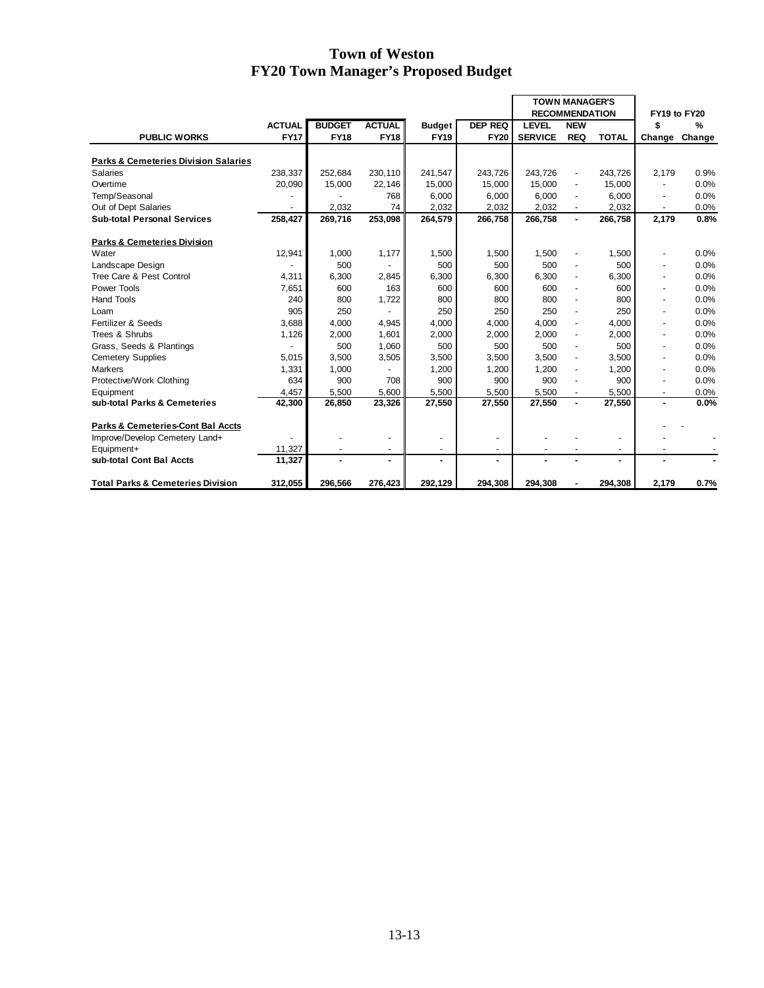|                                                 |               |               |                          |                          |                | <b>TOWN MANAGER'S</b> |                          |                |                          |               |
|-------------------------------------------------|---------------|---------------|--------------------------|--------------------------|----------------|-----------------------|--------------------------|----------------|--------------------------|---------------|
|                                                 |               |               |                          |                          |                | <b>RECOMMENDATION</b> |                          |                | FY19 to FY20             |               |
|                                                 | <b>ACTUAL</b> | <b>BUDGET</b> | <b>ACTUAL</b>            | <b>Budget</b>            | <b>DEP REQ</b> | <b>LEVEL</b>          | <b>NEW</b>               |                | \$                       | $\frac{9}{6}$ |
| <b>PUBLIC WORKS</b>                             | <b>FY17</b>   | <b>FY18</b>   | <b>FY18</b>              | <b>FY19</b>              | <b>FY20</b>    | <b>SERVICE</b>        | <b>REQ</b>               | <b>TOTAL</b>   | Change                   | Change        |
|                                                 |               |               |                          |                          |                |                       |                          |                |                          |               |
| <b>Parks &amp; Cemeteries Division Salaries</b> |               |               |                          |                          |                |                       |                          |                |                          |               |
| <b>Salaries</b>                                 | 238,337       | 252,684       | 230,110                  | 241,547                  | 243,726        | 243,726               |                          | 243,726        | 2,179                    | 0.9%          |
| Overtime                                        | 20,090        | 15,000        | 22,146                   | 15,000                   | 15,000         | 15,000                |                          | 15,000         |                          | 0.0%          |
| Temp/Seasonal                                   |               |               | 768                      | 6,000                    | 6,000          | 6,000                 |                          | 6,000          | $\overline{\phantom{a}}$ | 0.0%          |
| Out of Dept Salaries                            |               | 2.032         | 74                       | 2.032                    | 2,032          | 2.032                 | $\blacksquare$           | 2,032          | $\overline{\phantom{a}}$ | 0.0%          |
| <b>Sub-total Personal Services</b>              | 258,427       | 269,716       | 253,098                  | 264,579                  | 266,758        | 266,758               | $\blacksquare$           | 266,758        | 2,179                    | 0.8%          |
| <b>Parks &amp; Cemeteries Division</b>          |               |               |                          |                          |                |                       |                          |                |                          |               |
| Water                                           | 12,941        | 1,000         | 1,177                    | 1,500                    | 1,500          | 1,500                 |                          | 1,500          | ٠                        | 0.0%          |
| Landscape Design                                |               | 500           |                          | 500                      | 500            | 500                   |                          | 500            | $\overline{\phantom{a}}$ | 0.0%          |
| Tree Care & Pest Control                        | 4,311         | 6,300         | 2,845                    | 6,300                    | 6,300          | 6,300                 |                          | 6,300          | $\overline{\phantom{a}}$ | 0.0%          |
| Power Tools                                     | 7.651         | 600           | 163                      | 600                      | 600            | 600                   |                          | 600            | ٠                        | 0.0%          |
| <b>Hand Tools</b>                               | 240           | 800           | 1,722                    | 800                      | 800            | 800                   |                          | 800            | $\overline{\phantom{a}}$ | 0.0%          |
| Loam                                            | 905           | 250           |                          | 250                      | 250            | 250                   |                          | 250            | $\overline{\phantom{a}}$ | 0.0%          |
| Fertilizer & Seeds                              | 3,688         | 4,000         | 4.945                    | 4.000                    | 4.000          | 4.000                 |                          | 4.000          | $\blacksquare$           | 0.0%          |
| Trees & Shrubs                                  | 1,126         | 2,000         | 1,601                    | 2,000                    | 2.000          | 2.000                 |                          | 2.000          | $\overline{\phantom{a}}$ | 0.0%          |
| Grass, Seeds & Plantings                        |               | 500           | 1,060                    | 500                      | 500            | 500                   |                          | 500            | ۰                        | 0.0%          |
| <b>Cemetery Supplies</b>                        | 5,015         | 3,500         | 3,505                    | 3,500                    | 3,500          | 3,500                 |                          | 3,500          | ٠                        | 0.0%          |
| <b>Markers</b>                                  | 1,331         | 1,000         |                          | 1,200                    | 1,200          | 1,200                 |                          | 1,200          | $\overline{\phantom{a}}$ | 0.0%          |
| Protective/Work Clothing                        | 634           | 900           | 708                      | 900                      | 900            | 900                   |                          | 900            | $\blacksquare$           | 0.0%          |
| Equipment                                       | 4,457         | 5,500         | 5,600                    | 5,500                    | 5,500          | 5,500                 | $\overline{\phantom{a}}$ | 5,500          | $\overline{\phantom{a}}$ | 0.0%          |
| sub-total Parks & Cemeteries                    | 42,300        | 26,850        | 23,326                   | 27,550                   | 27,550         | 27,550                | $\blacksquare$           | 27,550         | ۰.                       | 0.0%          |
| Parks & Cemeteries-Cont Bal Accts               |               |               |                          |                          |                |                       |                          |                |                          |               |
| Improve/Develop Cemetery Land+                  |               |               | $\overline{\phantom{a}}$ | $\overline{\phantom{a}}$ | $\blacksquare$ |                       |                          | ٠              |                          |               |
| Equipment+                                      | 11,327        |               | ٠                        |                          | ÷,             |                       |                          | ٠              |                          |               |
| sub-total Cont Bal Accts                        | 11,327        |               | $\overline{a}$           |                          | ۰              |                       |                          | $\overline{a}$ |                          |               |
|                                                 |               |               |                          |                          |                |                       |                          |                |                          |               |
| <b>Total Parks &amp; Cemeteries Division</b>    | 312,055       | 296.566       | 276.423                  | 292,129                  | 294.308        | 294.308               |                          | 294.308        | 2,179                    | 0.7%          |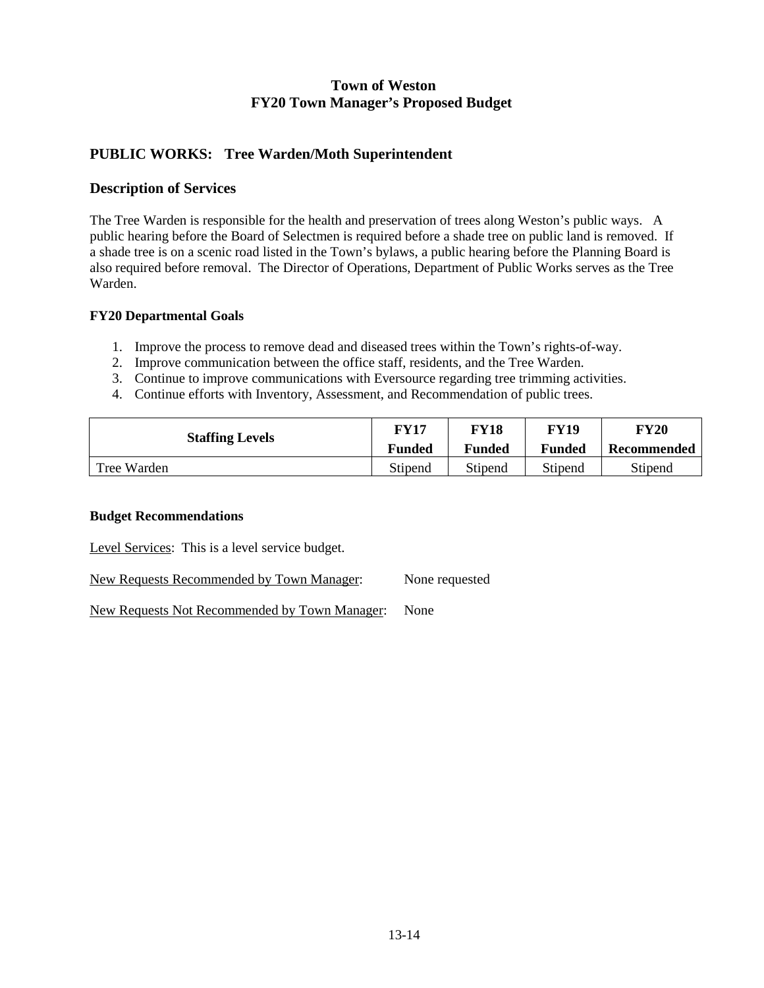### **PUBLIC WORKS: Tree Warden/Moth Superintendent**

### **Description of Services**

The Tree Warden is responsible for the health and preservation of trees along Weston's public ways. A public hearing before the Board of Selectmen is required before a shade tree on public land is removed. If a shade tree is on a scenic road listed in the Town's bylaws, a public hearing before the Planning Board is also required before removal. The Director of Operations, Department of Public Works serves as the Tree Warden.

### **FY20 Departmental Goals**

- 1. Improve the process to remove dead and diseased trees within the Town's rights-of-way.
- 2. Improve communication between the office staff, residents, and the Tree Warden.
- 3. Continue to improve communications with Eversource regarding tree trimming activities.
- 4. Continue efforts with Inventory, Assessment, and Recommendation of public trees.

| <b>Staffing Levels</b> | FY17          | FY18          | <b>FY19</b>   | FY20        |  |
|------------------------|---------------|---------------|---------------|-------------|--|
|                        | <b>Funded</b> | <b>Funded</b> | <b>Funded</b> | Recommended |  |
| Tree Warden            | Stipend       | Stipend       | Stipend       | Stipend     |  |

#### **Budget Recommendations**

Level Services: This is a level service budget.

New Requests Recommended by Town Manager: None requested